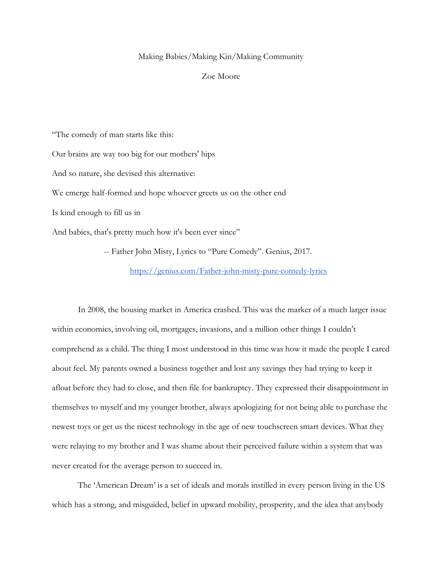## Making Babies/Making Kin/Making Community

## Zoe Moore

"The comedy of man starts like this:

Our brains are way too big for our mothers' hips

And so nature, she devised this alternative:

We emerge half-formed and hope whoever greets us on the other end

Is kind enough to fill us in

And babies, that's pretty much how it's been ever since"

-- Father John Misty, Lyrics to "Pure Comedy". Genius, 2017.

<https://genius.com/Father-john-misty-pure-comedy-lyrics>

In 2008, the housing market in America crashed. This was the marker of a much larger issue within economics, involving oil, mortgages, invasions, and a million other things I couldn't comprehend as a child. The thing I most understood in this time was how it made the people I cared about feel. My parents owned a business together and lost any savings they had trying to keep it afloat before they had to close, and then file for bankruptcy. They expressed their disappointment in themselves to myself and my younger brother, always apologizing for not being able to purchase the newest toys or get us the nicest technology in the age of new touchscreen smart devices. What they were relaying to my brother and I was shame about their perceived failure within a system that was never created for the average person to succeed in.

The 'American Dream' is a set of ideals and morals instilled in every person living in the US which has a strong, and misguided, belief in upward mobility, prosperity, and the idea that anybody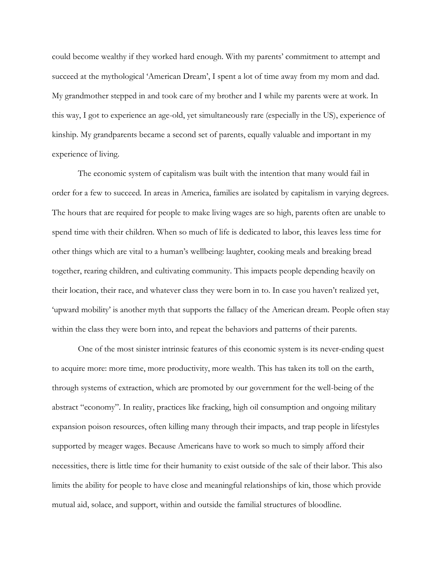could become wealthy if they worked hard enough. With my parents' commitment to attempt and succeed at the mythological 'American Dream', I spent a lot of time away from my mom and dad. My grandmother stepped in and took care of my brother and I while my parents were at work. In this way, I got to experience an age-old, yet simultaneously rare (especially in the US), experience of kinship. My grandparents became a second set of parents, equally valuable and important in my experience of living.

The economic system of capitalism was built with the intention that many would fail in order for a few to succeed. In areas in America, families are isolated by capitalism in varying degrees. The hours that are required for people to make living wages are so high, parents often are unable to spend time with their children. When so much of life is dedicated to labor, this leaves less time for other things which are vital to a human's wellbeing: laughter, cooking meals and breaking bread together, rearing children, and cultivating community. This impacts people depending heavily on their location, their race, and whatever class they were born in to. In case you haven't realized yet, 'upward mobility' is another myth that supports the fallacy of the American dream. People often stay within the class they were born into, and repeat the behaviors and patterns of their parents.

One of the most sinister intrinsic features of this economic system is its never-ending quest to acquire more: more time, more productivity, more wealth. This has taken its toll on the earth, through systems of extraction, which are promoted by our government for the well-being of the abstract "economy". In reality, practices like fracking, high oil consumption and ongoing military expansion poison resources, often killing many through their impacts, and trap people in lifestyles supported by meager wages. Because Americans have to work so much to simply afford their necessities, there is little time for their humanity to exist outside of the sale of their labor. This also limits the ability for people to have close and meaningful relationships of kin, those which provide mutual aid, solace, and support, within and outside the familial structures of bloodline.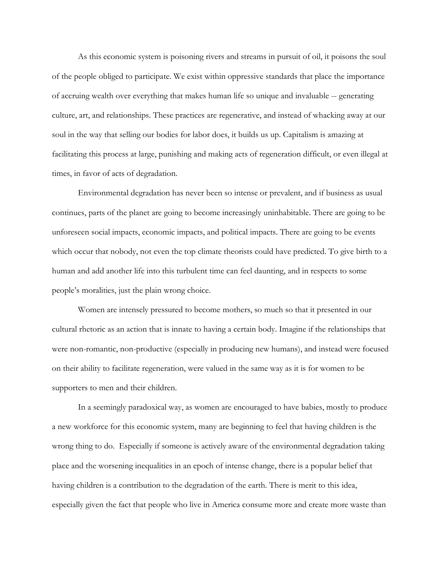As this economic system is poisoning rivers and streams in pursuit of oil, it poisons the soul of the people obliged to participate. We exist within oppressive standards that place the importance of accruing wealth over everything that makes human life so unique and invaluable -- generating culture, art, and relationships. These practices are regenerative, and instead of whacking away at our soul in the way that selling our bodies for labor does, it builds us up. Capitalism is amazing at facilitating this process at large, punishing and making acts of regeneration difficult, or even illegal at times, in favor of acts of degradation.

Environmental degradation has never been so intense or prevalent, and if business as usual continues, parts of the planet are going to become increasingly uninhabitable. There are going to be unforeseen social impacts, economic impacts, and political impacts. There are going to be events which occur that nobody, not even the top climate theorists could have predicted. To give birth to a human and add another life into this turbulent time can feel daunting, and in respects to some people's moralities, just the plain wrong choice.

Women are intensely pressured to become mothers, so much so that it presented in our cultural rhetoric as an action that is innate to having a certain body. Imagine if the relationships that were non-romantic, non-productive (especially in producing new humans), and instead were focused on their ability to facilitate regeneration, were valued in the same way as it is for women to be supporters to men and their children.

In a seemingly paradoxical way, as women are encouraged to have babies, mostly to produce a new workforce for this economic system, many are beginning to feel that having children is the wrong thing to do. Especially if someone is actively aware of the environmental degradation taking place and the worsening inequalities in an epoch of intense change, there is a popular belief that having children is a contribution to the degradation of the earth. There is merit to this idea, especially given the fact that people who live in America consume more and create more waste than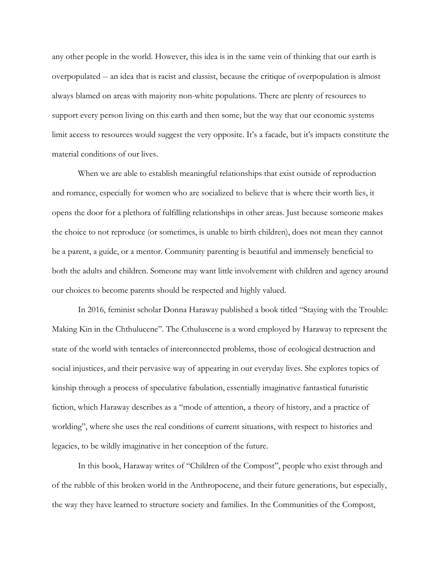any other people in the world. However, this idea is in the same vein of thinking that our earth is overpopulated -- an idea that is racist and classist, because the critique of overpopulation is almost always blamed on areas with majority non-white populations. There are plenty of resources to support every person living on this earth and then some, but the way that our economic systems limit access to resources would suggest the very opposite. It's a facade, but it's impacts constitute the material conditions of our lives.

When we are able to establish meaningful relationships that exist outside of reproduction and romance, especially for women who are socialized to believe that is where their worth lies, it opens the door for a plethora of fulfilling relationships in other areas. Just because someone makes the choice to not reproduce (or sometimes, is unable to birth children), does not mean they cannot be a parent, a guide, or a mentor. Community parenting is beautiful and immensely beneficial to both the adults and children. Someone may want little involvement with children and agency around our choices to become parents should be respected and highly valued.

In 2016, feminist scholar Donna Haraway published a book titled "Staying with the Trouble: Making Kin in the Chthulucene". The Cthuluscene is a word employed by Haraway to represent the state of the world with tentacles of interconnected problems, those of ecological destruction and social injustices, and their pervasive way of appearing in our everyday lives. She explores topics of kinship through a process of speculative fabulation, essentially imaginative fantastical futuristic fiction, which Haraway describes as a "mode of attention, a theory of history, and a practice of worlding", where she uses the real conditions of current situations, with respect to histories and legacies, to be wildly imaginative in her conception of the future.

In this book, Haraway writes of "Children of the Compost", people who exist through and of the rubble of this broken world in the Anthropocene, and their future generations, but especially, the way they have learned to structure society and families. In the Communities of the Compost,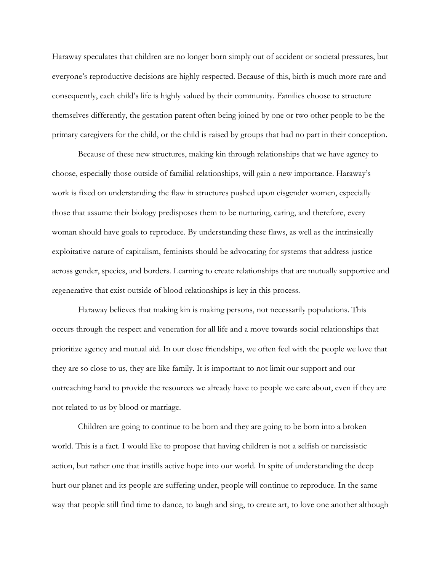Haraway speculates that children are no longer born simply out of accident or societal pressures, but everyone's reproductive decisions are highly respected. Because of this, birth is much more rare and consequently, each child's life is highly valued by their community. Families choose to structure themselves differently, the gestation parent often being joined by one or two other people to be the primary caregivers for the child, or the child is raised by groups that had no part in their conception.

Because of these new structures, making kin through relationships that we have agency to choose, especially those outside of familial relationships, will gain a new importance. Haraway's work is fixed on understanding the flaw in structures pushed upon cisgender women, especially those that assume their biology predisposes them to be nurturing, caring, and therefore, every woman should have goals to reproduce. By understanding these flaws, as well as the intrinsically exploitative nature of capitalism, feminists should be advocating for systems that address justice across gender, species, and borders. Learning to create relationships that are mutually supportive and regenerative that exist outside of blood relationships is key in this process.

Haraway believes that making kin is making persons, not necessarily populations. This occurs through the respect and veneration for all life and a move towards social relationships that prioritize agency and mutual aid. In our close friendships, we often feel with the people we love that they are so close to us, they are like family. It is important to not limit our support and our outreaching hand to provide the resources we already have to people we care about, even if they are not related to us by blood or marriage.

Children are going to continue to be born and they are going to be born into a broken world. This is a fact. I would like to propose that having children is not a selfish or narcissistic action, but rather one that instills active hope into our world. In spite of understanding the deep hurt our planet and its people are suffering under, people will continue to reproduce. In the same way that people still find time to dance, to laugh and sing, to create art, to love one another although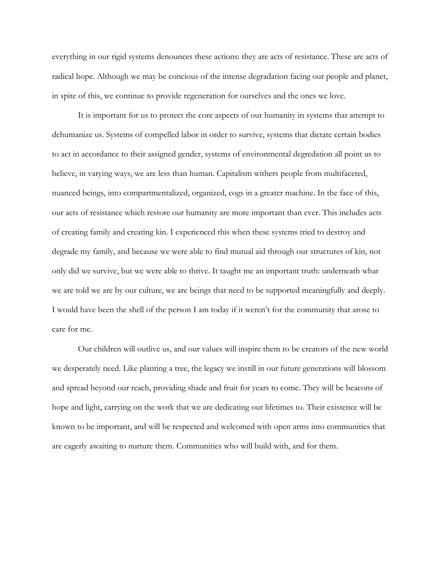everything in our rigid systems denounces these actions: they are acts of resistance. These are acts of radical hope. Although we may be concious of the intense degradation facing our people and planet, in spite of this, we continue to provide regeneration for ourselves and the ones we love.

It is important for us to protect the core aspects of our humanity in systems that attempt to dehumanize us. Systems of compelled labor in order to survive, systems that dictate certain bodies to act in accordance to their assigned gender, systems of environmental degredation all point us to believe, in varying ways, we are less than human. Capitalism withers people from multifaceted, nuanced beings, into compartmentalized, organized, cogs in a greater machine. In the face of this, our acts of resistance which restore our humanity are more important than ever. This includes acts of creating family and creating kin. I experienced this when these systems tried to destroy and degrade my family, and because we were able to find mutual aid through our structures of kin, not only did we survive, but we were able to thrive. It taught me an important truth: underneath what we are told we are by our culture, we are beings that need to be supported meaningfully and deeply. I would have been the shell of the person I am today if it weren't for the community that arose to care for me.

Our children will outlive us, and our values will inspire them to be creators of the new world we desperately need. Like planting a tree, the legacy we instill in our future generations will blossom and spread beyond our reach, providing shade and fruit for years to come. They will be beacons of hope and light, carrying on the work that we are dedicating our lifetimes to. Their existence will be known to be important, and will be respected and welcomed with open arms into communities that are eagerly awaiting to nurture them. Communities who will build with, and for them.